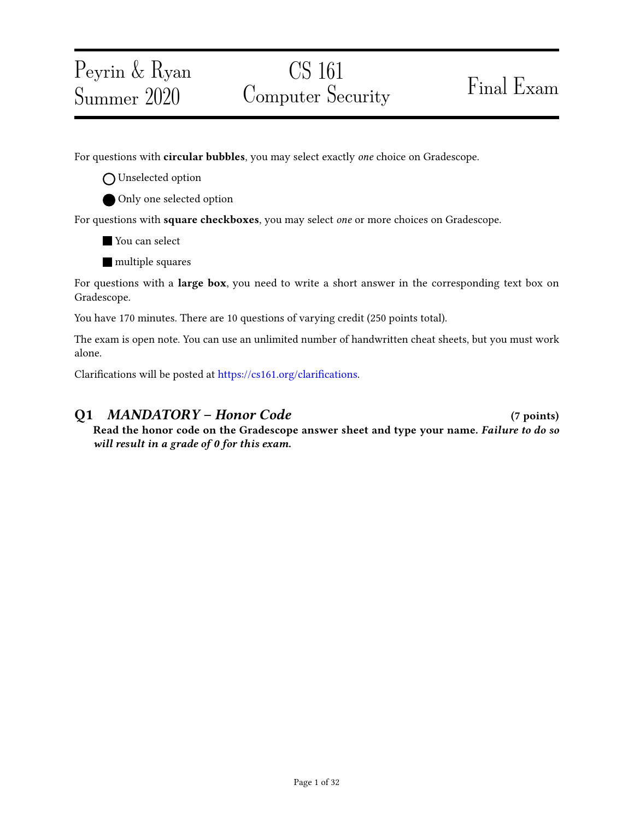# Peyrin & Ryan Summer 2020

# CS 161 Computer Security Final Exam

For questions with circular bubbles, you may select exactly one choice on Gradescope.

O Unselected option

Only one selected option

For questions with square checkboxes, you may select one or more choices on Gradescope.

**You can select** 

**multiple squares** 

For questions with a large box, you need to write a short answer in the corresponding text box on Gradescope.

You have 170 minutes. There are 10 questions of varying credit (250 points total).

The exam is open note. You can use an unlimited number of handwritten cheat sheets, but you must work alone.

Clarifications will be posted at https://cs161.org/clarifications.

# Q1 MANDATORY – Honor Code (7 points)

Read the honor code on the Gradescope answer sheet and type your name. Failure to do so will result in a grade of 0 for this exam.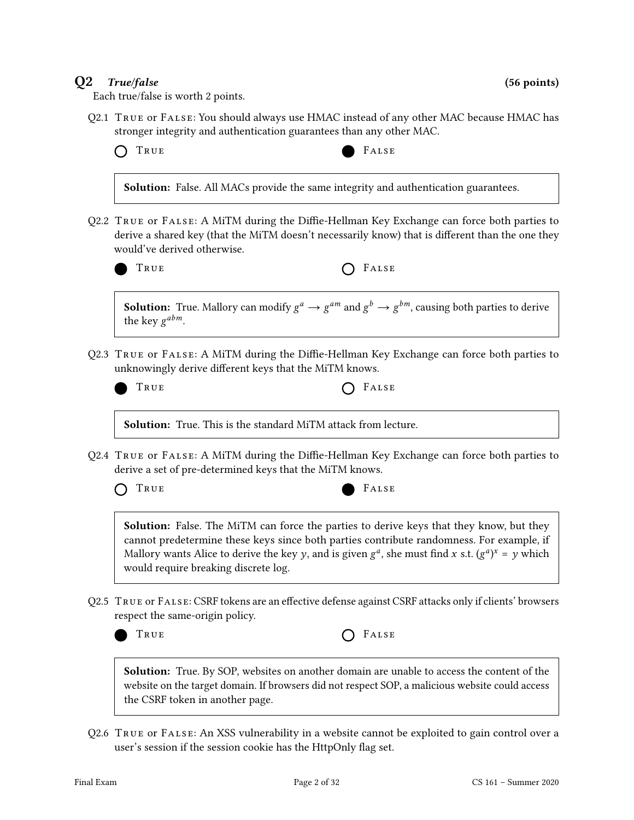# $Q2$  True/false (56 points)

Each true/false is worth 2 points.

- Q2.1 True or False: You should always use HMAC instead of any other MAC because HMAC has stronger integrity and authentication guarantees than any other MAC.
	-



Solution: False. All MACs provide the same integrity and authentication guarantees.

Q2.2 TRUE or FALSE: A MiTM during the Diffie-Hellman Key Exchange can force both parties to derive a shared key (that the MiTM doesn't necessarily know) that is different than the one they would've derived otherwise.



TRUE **CONSTRUE** 

**Solution:** True. Mallory can modify  $g^a \to g^{am}$  and  $g^b \to g^{bm}$ , causing both parties to derive the key  $g^{abm}$ .

Q2.3 TRUE or FALSE: A MiTM during the Diffie-Hellman Key Exchange can force both parties to unknowingly derive different keys that the MiTM knows.



TRUE **CONSTRUE** 

Solution: True. This is the standard MiTM attack from lecture.

Q2.4 TRUE or FALSE: A MiTM during the Diffie-Hellman Key Exchange can force both parties to derive a set of pre-determined keys that the MiTM knows.

TRUE FALSE

Solution: False. The MiTM can force the parties to derive keys that they know, but they cannot predetermine these keys since both parties contribute randomness. For example, if Mallory wants Alice to derive the key y, and is given  $g^a$ , she must find x s.t.  $(g^a)^x = y$  which would require breaking discrete log.

Q2.5 TRUE or FALSE: CSRF tokens are an effective defense against CSRF attacks only if clients' browsers respect the same-origin policy.

| M.<br>v<br>$\sim$<br>- - |  |
|--------------------------|--|
|                          |  |



Solution: True. By SOP, websites on another domain are unable to access the content of the website on the target domain. If browsers did not respect SOP, a malicious website could access the CSRF token in another page.

Q2.6 True or False: An XSS vulnerability in a website cannot be exploited to gain control over a user's session if the session cookie has the HttpOnly flag set.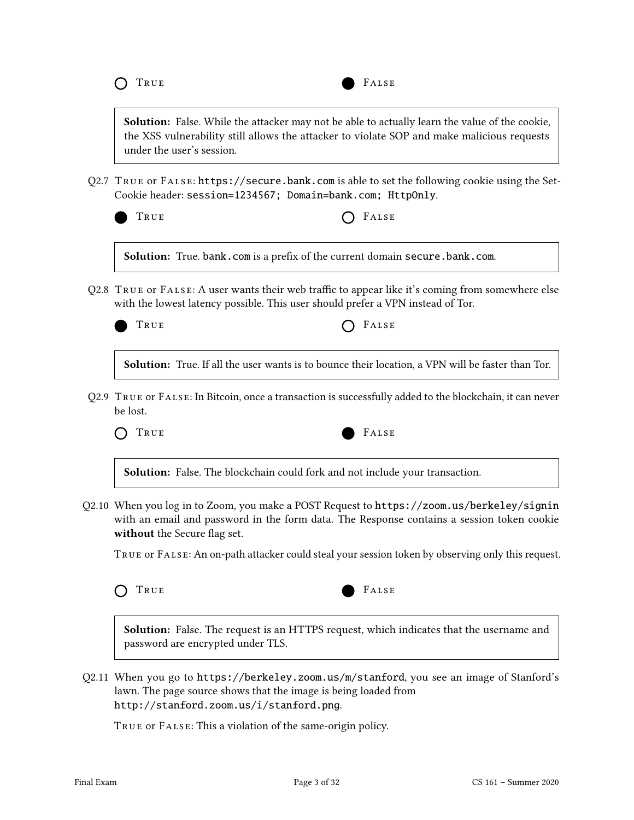



**Solution:** False. While the attacker may not be able to actually learn the value of the cookie, the XSS vulnerability still allows the attacker to violate SOP and make malicious requests under the user's session.

Q2.7 True or False: https://secure.bank.com is able to set the following cookie using the Set-Cookie header: session=1234567; Domain=bank.com; HttpOnly.

 $T_{\text{E}}$  False

Solution: True. bank.com is a prefix of the current domain secure.bank.com.

Q2.8 TRUE or  $F_{\text{ALSE}}$ : A user wants their web traffic to appear like it's coming from somewhere else with the lowest latency possible. This user should prefer a VPN instead of Tor.

 $\bigcap$  FALSE

Solution: True. If all the user wants is to bounce their location, a VPN will be faster than Tor.

Q2.9 True or False: In Bitcoin, once a transaction is successfully added to the blockchain, it can never be lost.



Solution: False. The blockchain could fork and not include your transaction.

Q2.10 When you log in to Zoom, you make a POST Request to https://zoom.us/berkeley/signin with an email and password in the form data. The Response contains a session token cookie without the Secure flag set.

True or False: An on-path attacker could steal your session token by observing only this request.



Solution: False. The request is an HTTPS request, which indicates that the username and password are encrypted under TLS.

Q2.11 When you go to https://berkeley.zoom.us/m/stanford, you see an image of Stanford's lawn. The page source shows that the image is being loaded from http://stanford.zoom.us/i/stanford.png.

True or False: This a violation of the same-origin policy.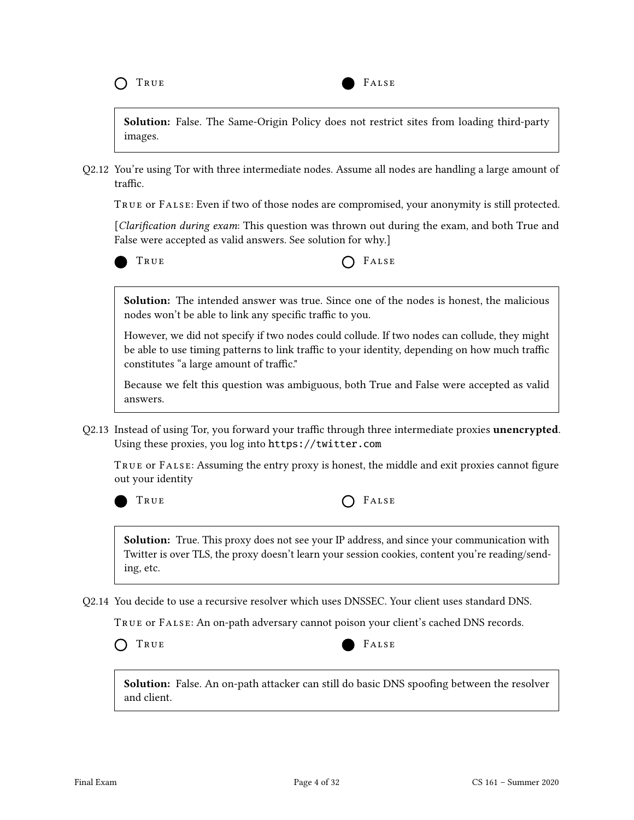

**Solution:** False. The Same-Origin Policy does not restrict sites from loading third-party images.

Q2.12 You're using Tor with three intermediate nodes. Assume all nodes are handling a large amount of traffic.

True or False: Even if two of those nodes are compromised, your anonymity is still protected.

[Clarification during exam: This question was thrown out during the exam, and both True and False were accepted as valid answers. See solution for why.]



TRUE **CONSTRUE** 

Solution: The intended answer was true. Since one of the nodes is honest, the malicious nodes won't be able to link any specific traffic to you.

However, we did not specify if two nodes could collude. If two nodes can collude, they might be able to use timing patterns to link traffic to your identity, depending on how much traffic constitutes "a large amount of traffic."

Because we felt this question was ambiguous, both True and False were accepted as valid answers.

Q2.13 Instead of using Tor, you forward your traffic through three intermediate proxies unencrypted. Using these proxies, you log into https://twitter.com

TRUE OF FALSE: Assuming the entry proxy is honest, the middle and exit proxies cannot figure out your identity



TRUE **CONSTRUE** 

Solution: True. This proxy does not see your IP address, and since your communication with Twitter is over TLS, the proxy doesn't learn your session cookies, content you're reading/sending, etc.

Q2.14 You decide to use a recursive resolver which uses DNSSEC. Your client uses standard DNS.

True or False: An on-path adversary cannot poison your client's cached DNS records.



Solution: False. An on-path attacker can still do basic DNS spoofing between the resolver and client.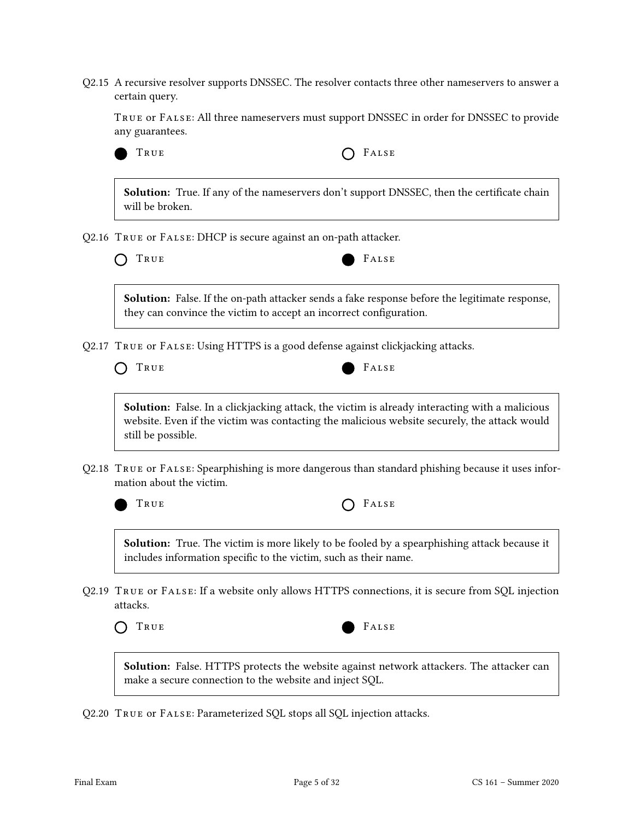Q2.15 A recursive resolver supports DNSSEC. The resolver contacts three other nameservers to answer a certain query.

True or False: All three nameservers must support DNSSEC in order for DNSSEC to provide any guarantees.



TRUE **CONSTRUE** 

Solution: True. If any of the nameservers don't support DNSSEC, then the certificate chain will be broken.

Q2.16 True or False: DHCP is secure against an on-path attacker.



Solution: False. If the on-path attacker sends a fake response before the legitimate response, they can convince the victim to accept an incorrect configuration.

Q2.17 True or False: Using HTTPS is a good defense against clickjacking attacks.

TRUE FALSE

Solution: False. In a clickjacking attack, the victim is already interacting with a malicious website. Even if the victim was contacting the malicious website securely, the attack would still be possible.

Q2.18 True or False: Spearphishing is more dangerous than standard phishing because it uses information about the victim.



TRUE **CONSTRUE** 

Solution: True. The victim is more likely to be fooled by a spearphishing attack because it includes information specific to the victim, such as their name.

Q2.19 True or False: If a website only allows HTTPS connections, it is secure from SQL injection attacks.





Solution: False. HTTPS protects the website against network attackers. The attacker can make a secure connection to the website and inject SQL.

Q2.20 True or False: Parameterized SQL stops all SQL injection attacks.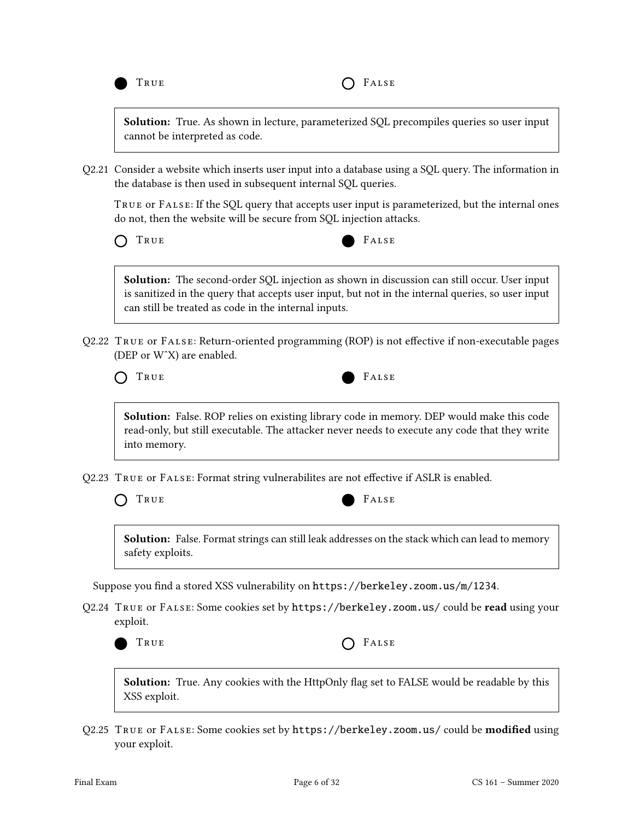

**Solution:** True. As shown in lecture, parameterized SQL precompiles queries so user input cannot be interpreted as code.

Q2.21 Consider a website which inserts user input into a database using a SQL query. The information in the database is then used in subsequent internal SQL queries.

True or False: If the SQL query that accepts user input is parameterized, but the internal ones do not, then the website will be secure from SQL injection attacks.



Solution: The second-order SOL injection as shown in discussion can still occur. User input is sanitized in the query that accepts user input, but not in the internal queries, so user input can still be treated as code in the internal inputs.

Q2.22 TRUE OF FALSE: Return-oriented programming (ROP) is not effective if non-executable pages (DEP or WˆX) are enabled.



Solution: False. ROP relies on existing library code in memory. DEP would make this code read-only, but still executable. The attacker never needs to execute any code that they write into memory.

Q2.23 TRUE OF FALSE: Format string vulnerabilites are not effective if ASLR is enabled.

TRUE FALSE

Solution: False. Format strings can still leak addresses on the stack which can lead to memory safety exploits.

Suppose you find a stored XSS vulnerability on https://berkeley.zoom.us/m/1234.

Q2.24 True or False: Some cookies set by https://berkeley.zoom.us/ could be read using your exploit.



TRUE **CONSTRUE** 

Solution: True. Any cookies with the HttpOnly flag set to FALSE would be readable by this XSS exploit.

Q2.25 TRUE or FALSE: Some cookies set by https://berkeley.zoom.us/ could be modified using your exploit.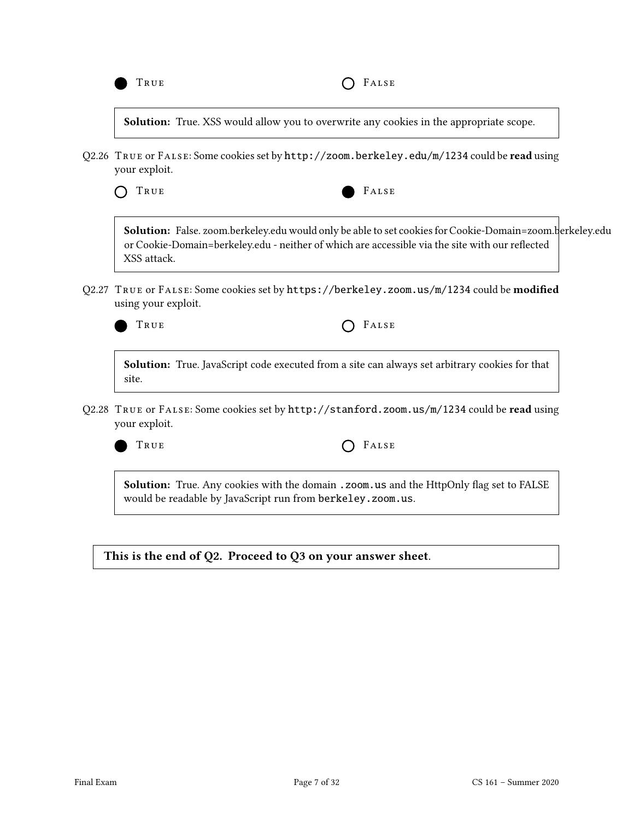

Solution: True. XSS would allow you to overwrite any cookies in the appropriate scope.

Q2.26 TRUE or FALSE: Some cookies set by http://zoom.berkeley.edu/m/1234 could be read using your exploit.

TRUE FALSE

Solution: False. zoom.berkeley.edu would only be able to set cookies for Cookie-Domain=zoom.berkeley.edu or Cookie-Domain=berkeley.edu - neither of which are accessible via the site with our reflected XSS attack.

Q2.27 TRUE or FALSE: Some cookies set by https://berkeley.zoom.us/m/1234 could be modified using your exploit.

TRUE **CELLES** 

Solution: True. JavaScript code executed from a site can always set arbitrary cookies for that site.

Q2.28 TRUE or FALSE: Some cookies set by http://stanford.zoom.us/m/1234 could be read using your exploit.

| True | $O$ FALSE |
|------|-----------|
|      |           |

Solution: True. Any cookies with the domain . zoom.us and the HttpOnly flag set to FALSE would be readable by JavaScript run from berkeley.zoom.us.

This is the end of Q2. Proceed to Q3 on your answer sheet.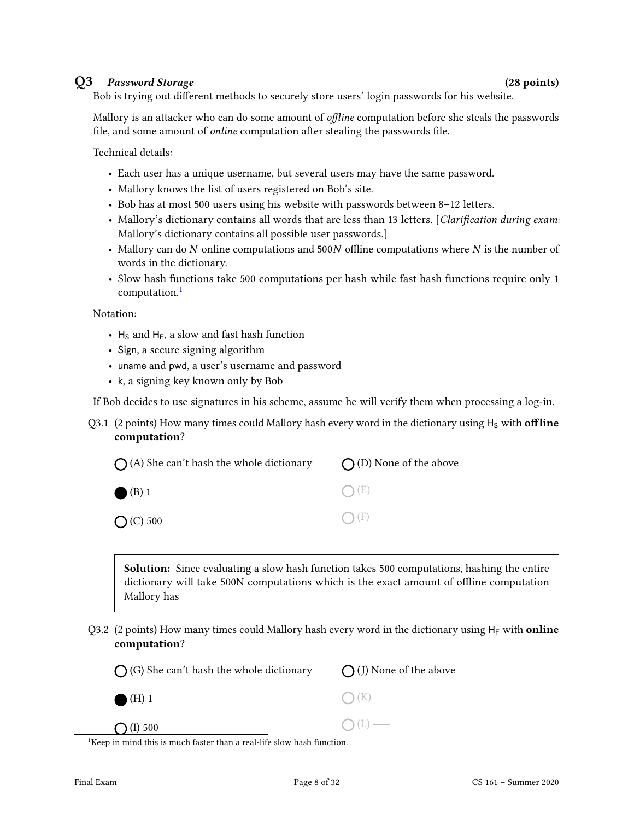# Q3 Password Storage (28 points)

Bob is trying out different methods to securely store users' login passwords for his website.

Mallory is an attacker who can do some amount of *offline* computation before she steals the passwords file, and some amount of *online* computation after stealing the passwords file.

Technical details:

- Each user has a unique username, but several users may have the same password.
- Mallory knows the list of users registered on Bob's site.
- Bob has at most 500 users using his website with passwords between 8–12 letters.
- Mallory's dictionary contains all words that are less than 13 letters. [Clarification during exam: Mallory's dictionary contains all possible user passwords.]
- Mallory can do  $N$  online computations and 500 $N$  offline computations where  $N$  is the number of words in the dictionary.
- Slow hash functions take 500 computations per hash while fast hash functions require only 1 computation.<sup>[1](#page-7-0)</sup>

Notation:

- $H_S$  and  $H_F$ , a slow and fast hash function
- Sign, a secure signing algorithm
- uname and pwd, a user's username and password
- k, a signing key known only by Bob

If Bob decides to use signatures in his scheme, assume he will verify them when processing a log-in.

Q3.1 (2 points) How many times could Mallory hash every word in the dictionary using  $H_S$  with **offline** computation?

| $\bigcap$ (A) She can't hash the whole dictionary | $\bigcap$ (D) None of the above |
|---------------------------------------------------|---------------------------------|
| $\bigcirc$ (B) 1                                  | $O(E)$ —                        |
| O <sup>(C)</sup> 500                              | $\bigcap$ (F) —                 |

Solution: Since evaluating a slow hash function takes 500 computations, hashing the entire dictionary will take 500N computations which is the exact amount of offline computation Mallory has

Q3.2 (2 points) How many times could Mallory hash every word in the dictionary using  $H_F$  with **online** computation?

| $\bigcap$ (G) She can't hash the whole dictionary | $\bigcap$ (J) None of the above |
|---------------------------------------------------|---------------------------------|
| $(H)$ 1                                           | $\bigcap (K)$ —                 |
| $\bigcap (I) 500$                                 | $O(L)$ —                        |
|                                                   |                                 |

<span id="page-7-0"></span> $1$ Keep in mind this is much faster than a real-life slow hash function.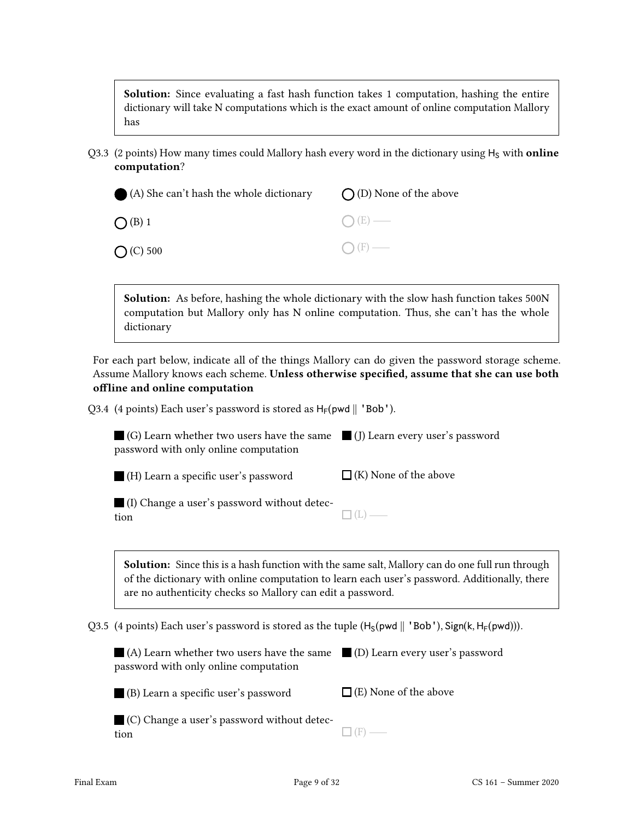Solution: Since evaluating a fast hash function takes 1 computation, hashing the entire dictionary will take N computations which is the exact amount of online computation Mallory has

Q3.3 (2 points) How many times could Mallory hash every word in the dictionary using  $H<sub>S</sub>$  with **online** computation?

| (A) She can't hash the whole dictionary | $\bigcap$ (D) None of the above |
|-----------------------------------------|---------------------------------|
| $O$ (B) 1                               | $O(E)$ —                        |
| O <sup>(C)</sup> 500                    | $\bigcap$ (F) —                 |

Solution: As before, hashing the whole dictionary with the slow hash function takes 500N computation but Mallory only has N online computation. Thus, she can't has the whole dictionary

For each part below, indicate all of the things Mallory can do given the password storage scheme. Assume Mallory knows each scheme. Unless otherwise specified, assume that she can use both offline and online computation

Q3.4 (4 points) Each user's password is stored as  $H_F(pwd || 'Bob').$ 

| $\Box$ (G) Learn whether two users have the same $\Box$ (J) Learn every user's password<br>password with only online computation |                              |
|----------------------------------------------------------------------------------------------------------------------------------|------------------------------|
| (H) Learn a specific user's password                                                                                             | $\Box$ (K) None of the above |
| (I) Change a user's password without detec-<br>tion                                                                              |                              |

Solution: Since this is a hash function with the same salt, Mallory can do one full run through of the dictionary with online computation to learn each user's password. Additionally, there are no authenticity checks so Mallory can edit a password.

 $\Box$  (F) —

Q3.5 (4 points) Each user's password is stored as the tuple ( $H_S(pwd || 'Bob'), Sign(k, H_F(pwd))$ ).

| $\Box$ (A) Learn whether two users have the same $\Box$ (D) Learn every user's password<br>password with only online computation |                              |
|----------------------------------------------------------------------------------------------------------------------------------|------------------------------|
| $\blacksquare$ (B) Learn a specific user's password                                                                              | $\Box$ (E) None of the above |
| $\Box$ (C) Change a user's password without detec-                                                                               |                              |

| ٠ | $\sim$ |  |  |
|---|--------|--|--|

tion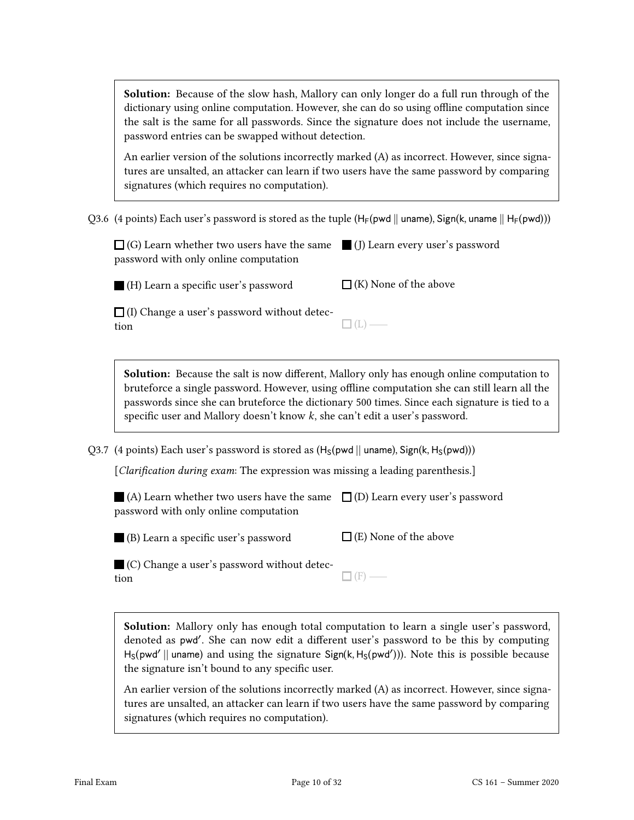**Solution:** Because of the slow hash, Mallory can only longer do a full run through of the dictionary using online computation. However, she can do so using offline computation since the salt is the same for all passwords. Since the signature does not include the username, password entries can be swapped without detection.

An earlier version of the solutions incorrectly marked (A) as incorrect. However, since signatures are unsalted, an attacker can learn if two users have the same password by comparing signatures (which requires no computation).

Q3.6 (4 points) Each user's password is stored as the tuple  $(H_F(pwd || uname), Sign(k, uname || H_F(pwd)))$ 

| $\Box$ (G) Learn whether two users have the same $\Box$ (J) Learn every user's password |  |
|-----------------------------------------------------------------------------------------|--|
| password with only online computation                                                   |  |

 $\blacksquare$  (H) Learn a specific user's password

 $\Box$  (K) None of the above

 $\Box$  (I) Change a user's password without detection

**Solution:** Because the salt is now different, Mallory only has enough online computation to bruteforce a single password. However, using offline computation she can still learn all the passwords since she can bruteforce the dictionary 500 times. Since each signature is tied to a specific user and Mallory doesn't know  $k$ , she can't edit a user's password.

 $\Box$ (L) —

Q3.7 (4 points) Each user's password is stored as  $(H_S(pwd || uname), Sign(k, H_S(pwd)))$ 

[Clarification during exam: The expression was missing a leading parenthesis.]

(A) Learn whether two users have the same  $\ \Box$  (D) Learn every user's password password with only online computation

 $\blacksquare$  (B) Learn a specific user's password  $\Box$  (E) None of the above

 $\Box$  (C) Change a user's password without detection  $\Box$  (F) —

Solution: Mallory only has enough total computation to learn a single user's password, denoted as pwd'. She can now edit a different user's password to be this by computing H<sub>S</sub>(pwd' || uname) and using the signature Sign(k, H<sub>S</sub>(pwd'))). Note this is possible because the signature isn't bound to any specific user.

An earlier version of the solutions incorrectly marked (A) as incorrect. However, since signatures are unsalted, an attacker can learn if two users have the same password by comparing signatures (which requires no computation).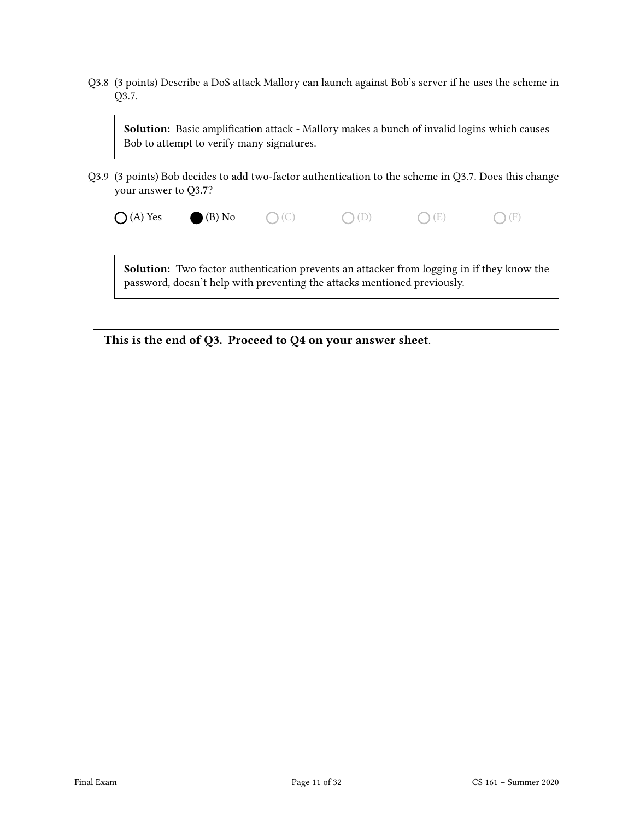Q3.8 (3 points) Describe a DoS attack Mallory can launch against Bob's server if he uses the scheme in Q3.7.

Solution: Basic amplification attack - Mallory makes a bunch of invalid logins which causes Bob to attempt to verify many signatures.

- Q3.9 (3 points) Bob decides to add two-factor authentication to the scheme in Q3.7. Does this change your answer to Q3.7?
	- $\bigcap (A)$  Yes  $\bigcap (B)$  No  $\bigcap (C)$   $\longrightarrow$   $\bigcap (D)$   $\longrightarrow$   $\bigcap (E)$   $\longrightarrow$   $\bigcap (F)$   $\longrightarrow$

Solution: Two factor authentication prevents an attacker from logging in if they know the password, doesn't help with preventing the attacks mentioned previously.

This is the end of Q3. Proceed to Q4 on your answer sheet.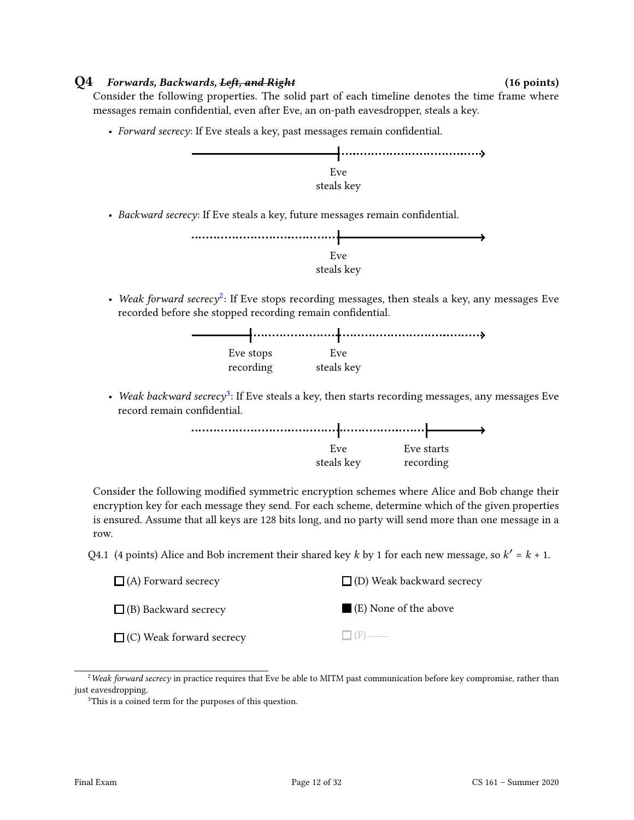### $Q4$  Forwards, Backwards, Left, and Right (16 points) (16 points)

Consider the following properties. The solid part of each timeline denotes the time frame where messages remain confidential, even after Eve, an on-path eavesdropper, steals a key.

• Forward secrecy: If Eve steals a key, past messages remain confidential.





Consider the following modified symmetric encryption schemes where Alice and Bob change their encryption key for each message they send. For each scheme, determine which of the given properties is ensured. Assume that all keys are 128 bits long, and no party will send more than one message in a row.

Q4.1 (4 points) Alice and Bob increment their shared key k by 1 for each new message, so  $k' = k + 1$ .

| $\Box$ (A) Forward secrecy      | $\Box$ (D) Weak backward secrecy     |
|---------------------------------|--------------------------------------|
| $\Box$ (B) Backward secrecy     | $\blacksquare$ (E) None of the above |
| $\Box$ (C) Weak forward secrecy | $\Box$ (F) —                         |

<span id="page-11-0"></span> $2$ Weak forward secrecy in practice requires that Eve be able to MITM past communication before key compromise, rather than just eavesdropping.

<span id="page-11-1"></span><sup>&</sup>lt;sup>3</sup>This is a coined term for the purposes of this question.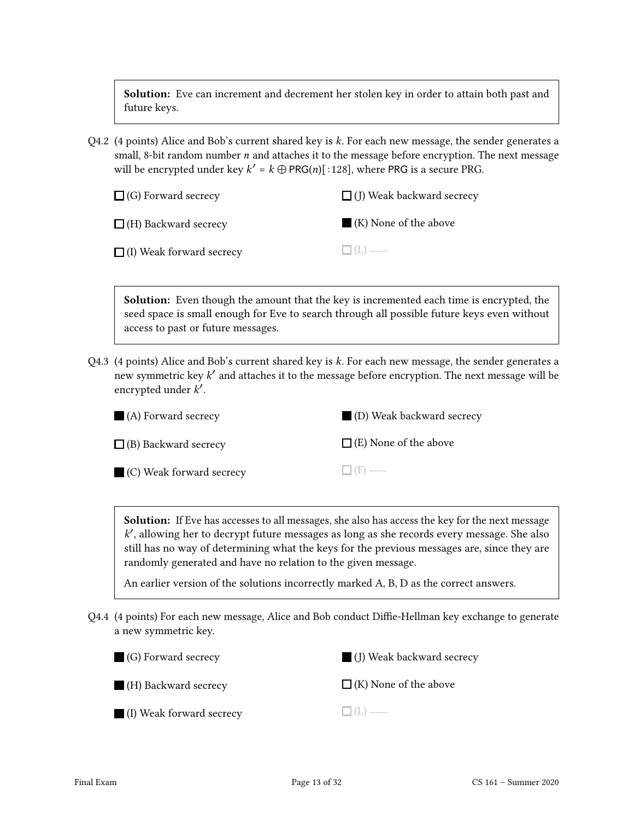Solution: Eve can increment and decrement her stolen key in order to attain both past and future keys.

Q4.2 (4 points) Alice and Bob's current shared key is  $k$ . For each new message, the sender generates a small, 8-bit random number  $n$  and attaches it to the message before encryption. The next message will be encrypted under key  $k' = k \bigoplus \text{PRG}(n)$ [:128], where PRG is a secure PRG.

| $\Box$ (G) Forward secrecy      | $\Box$ (J) Weak backward secrecy |
|---------------------------------|----------------------------------|
| $\Box$ (H) Backward secrecy     | $(K)$ None of the above          |
| $\Box$ (I) Weak forward secrecy | $\Box(L)$                        |

**Solution:** Even though the amount that the key is incremented each time is encrypted, the seed space is small enough for Eve to search through all possible future keys even without access to past or future messages.

Q4.3 (4 points) Alice and Bob's current shared key is  $k$ . For each new message, the sender generates a new symmetric key  $k^\prime$  and attaches it to the message before encryption. The next message will be encrypted under k'.

| (A) Forward secrecy                     | (D) Weak backward secrecy    |
|-----------------------------------------|------------------------------|
| $\Box$ (B) Backward secrecy             | $\Box$ (E) None of the above |
| $\blacksquare$ (C) Weak forward secrecy | $\Box$ (F) —                 |

Solution: If Eve has accesses to all messages, she also has access the key for the next message  $k'$ , allowing her to decrypt future messages as long as she records every message. She also still has no way of determining what the keys for the previous messages are, since they are randomly generated and have no relation to the given message.

An earlier version of the solutions incorrectly marked A, B, D as the correct answers.

Q4.4 (4 points) For each new message, Alice and Bob conduct Diffie-Hellman key exchange to generate a new symmetric key.

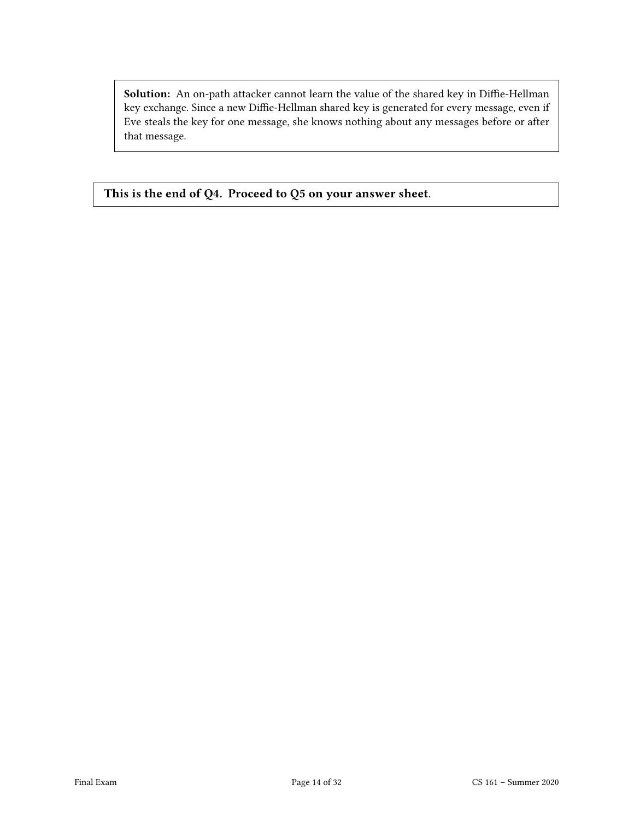Solution: An on-path attacker cannot learn the value of the shared key in Diffie-Hellman key exchange. Since a new Diffie-Hellman shared key is generated for every message, even if Eve steals the key for one message, she knows nothing about any messages before or after that message.

This is the end of Q4. Proceed to Q5 on your answer sheet.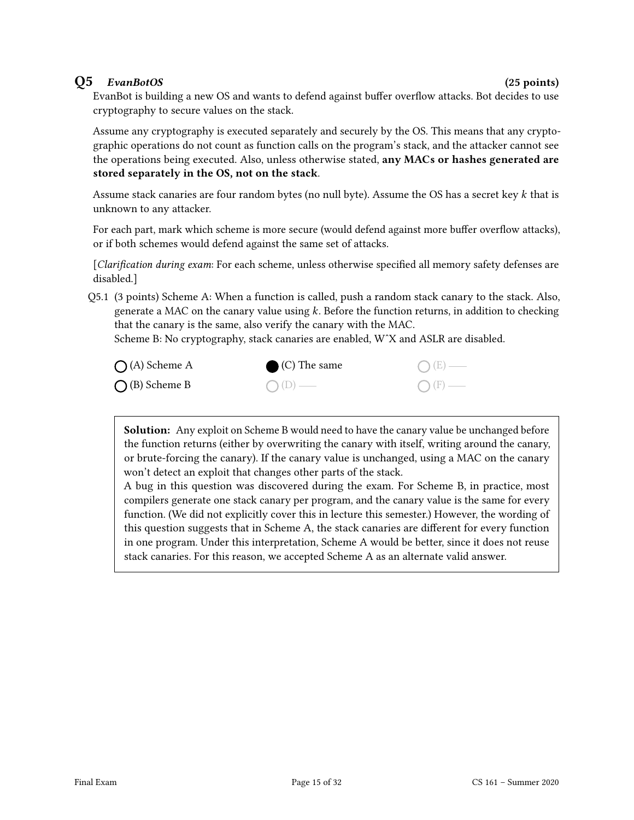# Q5 EvanBotOS (25 points)

EvanBot is building a new OS and wants to defend against buffer overflow attacks. Bot decides to use cryptography to secure values on the stack.

Assume any cryptography is executed separately and securely by the OS. This means that any cryptographic operations do not count as function calls on the program's stack, and the attacker cannot see the operations being executed. Also, unless otherwise stated, any MACs or hashes generated are stored separately in the OS, not on the stack.

Assume stack canaries are four random bytes (no null byte). Assume the OS has a secret key  $k$  that is unknown to any attacker.

For each part, mark which scheme is more secure (would defend against more buffer overflow attacks), or if both schemes would defend against the same set of attacks.

 $[Clarification during exam: For each scheme, unless otherwise specified all memory safety defenses are$ disabled.]

Q5.1 (3 points) Scheme A: When a function is called, push a random stack canary to the stack. Also, generate a MAC on the canary value using  $k$ . Before the function returns, in addition to checking that the canary is the same, also verify the canary with the MAC.

Scheme B: No cryptography, stack canaries are enabled, WˆX and ASLR are disabled.

| $\bigcap (A)$ Scheme A | $\bullet$ (C) The same | $O(E)$ —        |
|------------------------|------------------------|-----------------|
| $\bigcap$ (B) Scheme B | $O(D)$ —               | $\bigcap$ (F) — |

Solution: Any exploit on Scheme B would need to have the canary value be unchanged before the function returns (either by overwriting the canary with itself, writing around the canary, or brute-forcing the canary). If the canary value is unchanged, using a MAC on the canary won't detect an exploit that changes other parts of the stack.

A bug in this question was discovered during the exam. For Scheme B, in practice, most compilers generate one stack canary per program, and the canary value is the same for every function. (We did not explicitly cover this in lecture this semester.) However, the wording of this question suggests that in Scheme A, the stack canaries are different for every function in one program. Under this interpretation, Scheme A would be better, since it does not reuse stack canaries. For this reason, we accepted Scheme A as an alternate valid answer.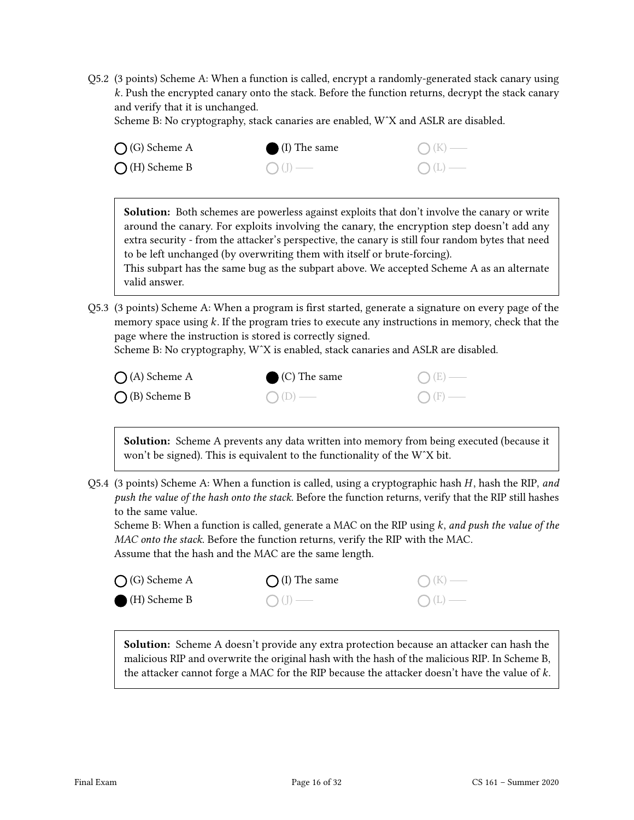Q5.2 (3 points) Scheme A: When a function is called, encrypt a randomly-generated stack canary using k. Push the encrypted canary onto the stack. Before the function returns, decrypt the stack canary and verify that it is unchanged.

Scheme B: No cryptography, stack canaries are enabled, WˆX and ASLR are disabled.

| $\bigcap$ (G) Scheme A  | (I) The same | $\bigcap (K)$ — |
|-------------------------|--------------|-----------------|
| $\bigcirc$ (H) Scheme B | $O(J)$ —     | $O(L)$ —        |

**Solution:** Both schemes are powerless against exploits that don't involve the canary or write around the canary. For exploits involving the canary, the encryption step doesn't add any extra security - from the attacker's perspective, the canary is still four random bytes that need to be left unchanged (by overwriting them with itself or brute-forcing). This subpart has the same bug as the subpart above. We accepted Scheme A as an alternate

valid answer.

Q5.3 (3 points) Scheme A: When a program is first started, generate a signature on every page of the memory space using  $k$ . If the program tries to execute any instructions in memory, check that the page where the instruction is stored is correctly signed.

Scheme B: No cryptography, W^X is enabled, stack canaries and ASLR are disabled.

| $\bigcap$ (A) Scheme A | $\bigcirc$ (C) The same | $O(E)$ —        |
|------------------------|-------------------------|-----------------|
| $\bigcap$ (B) Scheme B | $O(D)$ —                | $\bigcap$ (F) — |

Solution: Scheme A prevents any data written into memory from being executed (because it won't be signed). This is equivalent to the functionality of the WˆX bit.

Q5.4 (3 points) Scheme A: When a function is called, using a cryptographic hash  $H$ , hash the RIP, and push the value of the hash onto the stack. Before the function returns, verify that the RIP still hashes to the same value.

Scheme B: When a function is called, generate a MAC on the RIP using  $k$ , and push the value of the MAC onto the stack. Before the function returns, verify the RIP with the MAC. Assume that the hash and the MAC are the same length.

| $\bigcap$ (G) Scheme A | $\bigcap$ (I) The same | $\bigcap (K)$ — |
|------------------------|------------------------|-----------------|
| (H) Scheme B           | $\bigcirc$ (J) —       | $O(L)$ —        |

Solution: Scheme A doesn't provide any extra protection because an attacker can hash the malicious RIP and overwrite the original hash with the hash of the malicious RIP. In Scheme B, the attacker cannot forge a MAC for the RIP because the attacker doesn't have the value of  $k$ .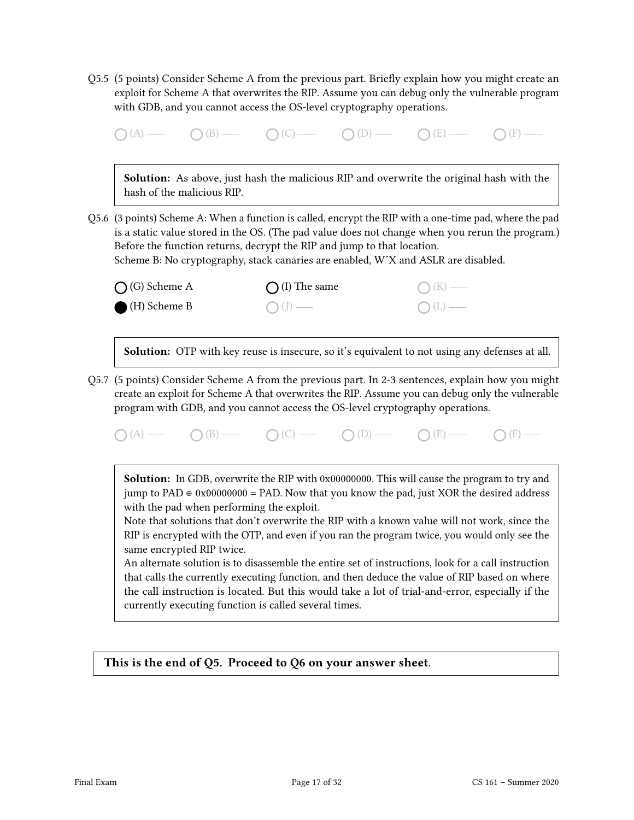Q5.5 (5 points) Consider Scheme A from the previous part. Briefly explain how you might create an exploit for Scheme A that overwrites the RIP. Assume you can debug only the vulnerable program with GDB, and you cannot access the OS-level cryptography operations.

 $\bigcap (A) \longrightarrow \bigcap (B) \longrightarrow \bigcap (C) \longrightarrow \bigcap (D) \longrightarrow \bigcap (E) \longrightarrow \bigcap (F) \longrightarrow$ Solution: As above, just hash the malicious RIP and overwrite the original hash with the hash of the malicious RIP. Q5.6 (3 points) Scheme A: When a function is called, encrypt the RIP with a one-time pad, where the pad is a static value stored in the OS. (The pad value does not change when you rerun the program.) Before the function returns, decrypt the RIP and jump to that location. Scheme B: No cryptography, stack canaries are enabled, WˆX and ASLR are disabled.  $\bigcap$  (G) Scheme A (H) Scheme B  $\bigcap$  (I) The same  $\bigcap$  (I) —  $\bigcap$  (K) —  $\bigcap(L)$  — **Solution:** OTP with key reuse is insecure, so it's equivalent to not using any defenses at all. Q5.7 (5 points) Consider Scheme A from the previous part. In 2-3 sentences, explain how you might create an exploit for Scheme A that overwrites the RIP. Assume you can debug only the vulnerable program with GDB, and you cannot access the OS-level cryptography operations.  $\bigcap (B)$  (C)  $\bigcap (C)$  (D)  $\bigcap (E)$  (E)  $\bigcap (F)$  (F) **Solution:** In GDB, overwrite the RIP with 0x00000000. This will cause the program to try and jump to PAD ⊕ 0x00000000 = PAD. Now that you know the pad, just XOR the desired address with the pad when performing the exploit. Note that solutions that don't overwrite the RIP with a known value will not work, since the RIP is encrypted with the OTP, and even if you ran the program twice, you would only see the same encrypted RIP twice.

An alternate solution is to disassemble the entire set of instructions, look for a call instruction that calls the currently executing function, and then deduce the value of RIP based on where the call instruction is located. But this would take a lot of trial-and-error, especially if the currently executing function is called several times.

This is the end of Q5. Proceed to Q6 on your answer sheet.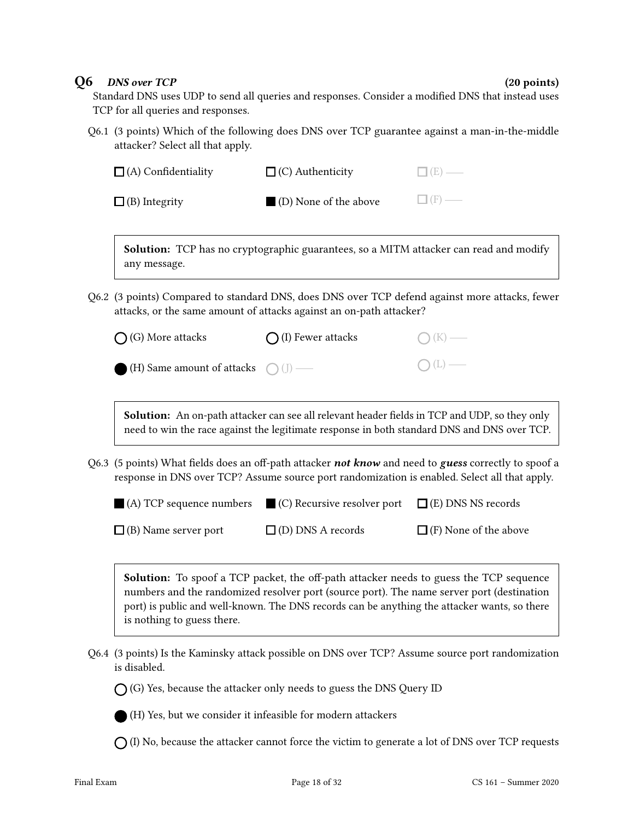### Q6 DNS over TCP (20 points)

Standard DNS uses UDP to send all queries and responses. Consider a modified DNS that instead uses TCP for all queries and responses.

Q6.1 (3 points) Which of the following does DNS over TCP guarantee against a man-in-the-middle attacker? Select all that apply.

| $\Box$ (A) Confidentiality | $\Box$ (C) Authenticity | $\Box$ (E) — |
|----------------------------|-------------------------|--------------|
| $\Box$ (B) Integrity       | (D) None of the above   | $\Box$ (F) — |

Solution: TCP has no cryptographic guarantees, so a MITM attacker can read and modify any message.

Q6.2 (3 points) Compared to standard DNS, does DNS over TCP defend against more attacks, fewer attacks, or the same amount of attacks against an on-path attacker?

| $\bigcirc$ (G) More attacks                            | $\bigcap$ (I) Fewer attacks | $\bigcap (K)$ — |
|--------------------------------------------------------|-----------------------------|-----------------|
| $\bigcirc$ (H) Same amount of attacks $\bigcirc$ (J) — |                             | $\bigcap(L)$ —  |

Solution: An on-path attacker can see all relevant header fields in TCP and UDP, so they only need to win the race against the legitimate response in both standard DNS and DNS over TCP.

Q6.3 (5 points) What fields does an off-path attacker **not know** and need to guess correctly to spoof a response in DNS over TCP? Assume source port randomization is enabled. Select all that apply.

| $\blacksquare$ (A) TCP sequence numbers | $\Box$ (C) Recursive resolver port $\Box$ (E) DNS NS records |                              |
|-----------------------------------------|--------------------------------------------------------------|------------------------------|
| $\Box$ (B) Name server port             | $\Box$ (D) DNS A records                                     | $\Box$ (F) None of the above |

Solution: To spoof a TCP packet, the off-path attacker needs to guess the TCP sequence numbers and the randomized resolver port (source port). The name server port (destination port) is public and well-known. The DNS records can be anything the attacker wants, so there is nothing to guess there.

Q6.4 (3 points) Is the Kaminsky attack possible on DNS over TCP? Assume source port randomization is disabled.

 $\bigcap$  (G) Yes, because the attacker only needs to guess the DNS Query ID



 $\bigcap$  (I) No, because the attacker cannot force the victim to generate a lot of DNS over TCP requests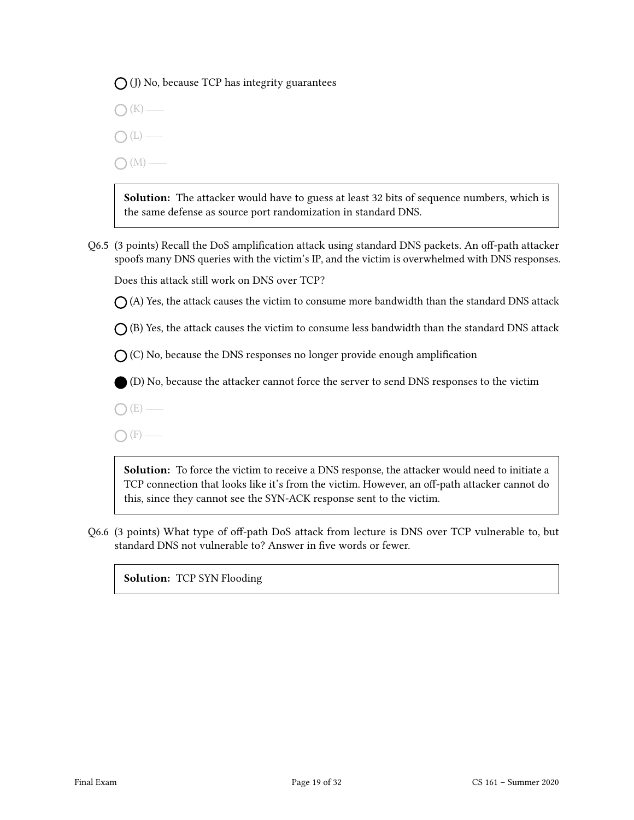$\bigcap$  (J) No, because TCP has integrity guarantees

 $\bigcap (K)$  —  $\bigcap(L)$  —  $\bigcap (M)$  —

> Solution: The attacker would have to guess at least 32 bits of sequence numbers, which is the same defense as source port randomization in standard DNS.

Q6.5 (3 points) Recall the DoS amplification attack using standard DNS packets. An off-path attacker spoofs many DNS queries with the victim's IP, and the victim is overwhelmed with DNS responses.

Does this attack still work on DNS over TCP?

 $\bigcap$  (A) Yes, the attack causes the victim to consume more bandwidth than the standard DNS attack

 $\bigcap$  (B) Yes, the attack causes the victim to consume less bandwidth than the standard DNS attack

 $\bigcap$  (C) No, because the DNS responses no longer provide enough amplification

(D) No, because the attacker cannot force the server to send DNS responses to the victim

 $\bigcap (E)$  —

 $\bigcap$  (F) —

Solution: To force the victim to receive a DNS response, the attacker would need to initiate a TCP connection that looks like it's from the victim. However, an off-path attacker cannot do this, since they cannot see the SYN-ACK response sent to the victim.

Q6.6 (3 points) What type of off-path DoS attack from lecture is DNS over TCP vulnerable to, but standard DNS not vulnerable to? Answer in five words or fewer.

Solution: TCP SYN Flooding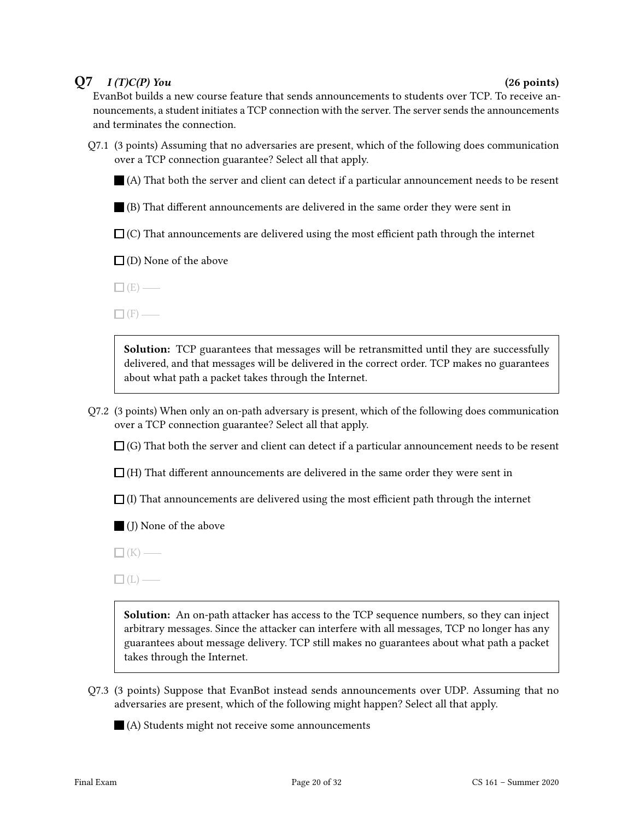# $Q7 \quad I(T)C(P)$  You (26 points)

EvanBot builds a new course feature that sends announcements to students over TCP. To receive announcements, a student initiates a TCP connection with the server. The server sends the announcements and terminates the connection.

Q7.1 (3 points) Assuming that no adversaries are present, which of the following does communication over a TCP connection guarantee? Select all that apply.

(A) That both the server and client can detect if a particular announcement needs to be resent

 $\blacksquare$  (B) That different announcements are delivered in the same order they were sent in

 $\Box$  (C) That announcements are delivered using the most efficient path through the internet

 $\Box$  (D) None of the above

 $\Box$  (E) —

 $\Box$  (F) —

**Solution:** TCP guarantees that messages will be retransmitted until they are successfully delivered, and that messages will be delivered in the correct order. TCP makes no guarantees about what path a packet takes through the Internet.

Q7.2 (3 points) When only an on-path adversary is present, which of the following does communication over a TCP connection guarantee? Select all that apply.

 $\Box$  (G) That both the server and client can detect if a particular announcement needs to be resent

 $\Box$  (H) That different announcements are delivered in the same order they were sent in

 $\Box$  (I) That announcements are delivered using the most efficient path through the internet

- (J) None of the above
- $\Box$ (K) —
- $\Box$ (L) —

Solution: An on-path attacker has access to the TCP sequence numbers, so they can inject arbitrary messages. Since the attacker can interfere with all messages, TCP no longer has any guarantees about message delivery. TCP still makes no guarantees about what path a packet takes through the Internet.

Q7.3 (3 points) Suppose that EvanBot instead sends announcements over UDP. Assuming that no adversaries are present, which of the following might happen? Select all that apply.

(A) Students might not receive some announcements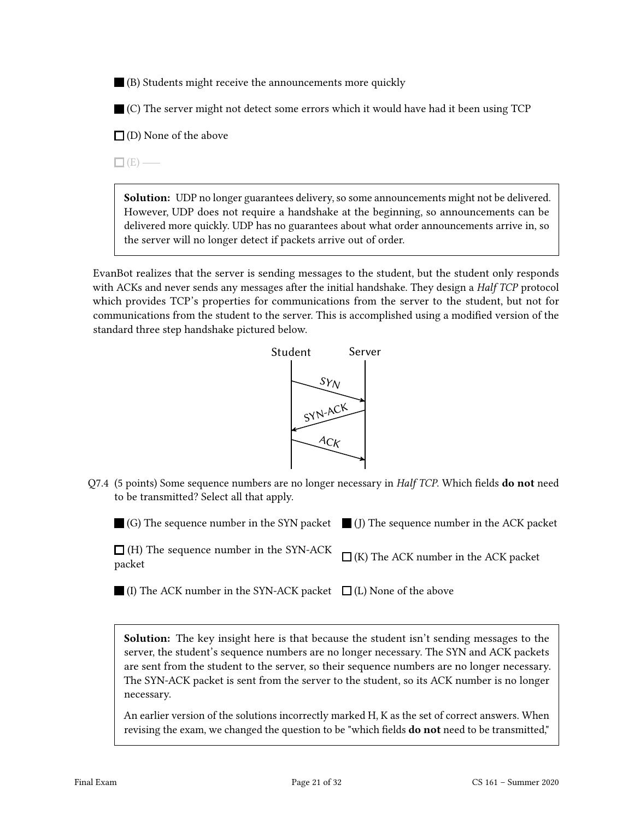(B) Students might receive the announcements more quickly

 $\blacksquare$  (C) The server might not detect some errors which it would have had it been using TCP

 $\square$  (D) None of the above

 $\Box$  (E) —

Solution: UDP no longer guarantees delivery, so some announcements might not be delivered. However, UDP does not require a handshake at the beginning, so announcements can be delivered more quickly. UDP has no guarantees about what order announcements arrive in, so the server will no longer detect if packets arrive out of order.

EvanBot realizes that the server is sending messages to the student, but the student only responds with ACKs and never sends any messages after the initial handshake. They design a Half TCP protocol which provides TCP's properties for communications from the server to the student, but not for communications from the student to the server. This is accomplished using a modified version of the standard three step handshake pictured below.



 $Q7.4$  (5 points) Some sequence numbers are no longer necessary in Half TCP. Which fields **do not** need to be transmitted? Select all that apply.

| $\Box$ (G) The sequence number in the SYN packet $\Box$ (J) The sequence number in the ACK packet   |  |
|-----------------------------------------------------------------------------------------------------|--|
| $\Box$ (H) The sequence number in the SYN-ACK $\Box$ (K) The ACK number in the ACK packet<br>packet |  |

(I) The ACK number in the SYN-ACK packet  $\Box$  (L) None of the above

Solution: The key insight here is that because the student isn't sending messages to the server, the student's sequence numbers are no longer necessary. The SYN and ACK packets are sent from the student to the server, so their sequence numbers are no longer necessary. The SYN-ACK packet is sent from the server to the student, so its ACK number is no longer necessary.

An earlier version of the solutions incorrectly marked H, K as the set of correct answers. When revising the exam, we changed the question to be "which fields **do not** need to be transmitted,"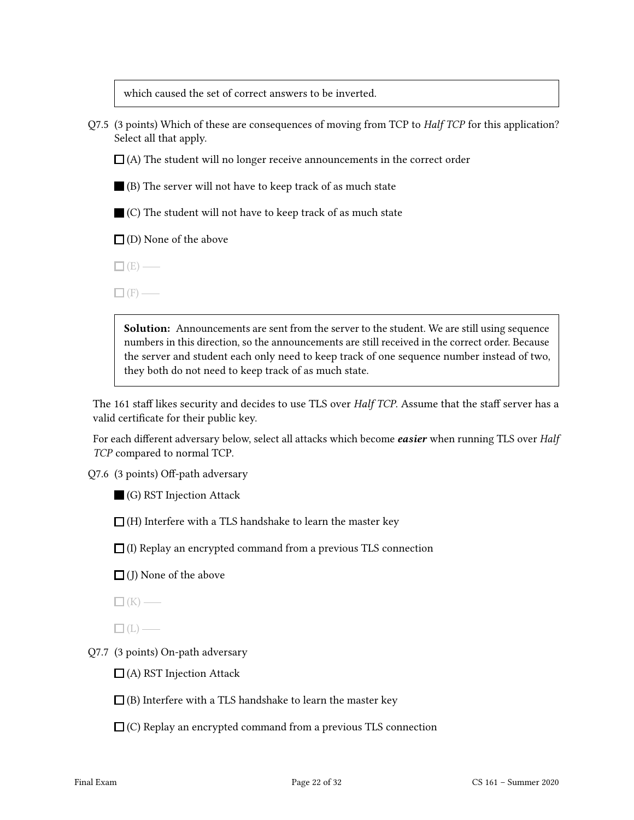which caused the set of correct answers to be inverted.

Q7.5 (3 points) Which of these are consequences of moving from TCP to *Half TCP* for this application? Select all that apply.

 $\Box$ (A) The student will no longer receive announcements in the correct order

 $\blacksquare$  (B) The server will not have to keep track of as much state

 $\Box$  (C) The student will not have to keep track of as much state

 $\Box$  (D) None of the above

 $\Box$  (E) —

 $\Box$  (F) —

Solution: Announcements are sent from the server to the student. We are still using sequence numbers in this direction, so the announcements are still received in the correct order. Because the server and student each only need to keep track of one sequence number instead of two, they both do not need to keep track of as much state.

The 161 staff likes security and decides to use TLS over Half TCP. Assume that the staff server has a valid certificate for their public key.

For each different adversary below, select all attacks which become *easier* when running TLS over Half TCP compared to normal TCP.

 $Q7.6$  (3 points) Off-path adversary

(G) RST Injection Attack

 $\Box$  (H) Interfere with a TLS handshake to learn the master key

 $\Box$  (I) Replay an encrypted command from a previous TLS connection

 $\Box$  (J) None of the above

 $\Box$  (K) —

 $\Box$ (L) —

Q7.7 (3 points) On-path adversary

 $\Box$  (A) RST Injection Attack

 $\square$  (B) Interfere with a TLS handshake to learn the master key

 $\Box$  (C) Replay an encrypted command from a previous TLS connection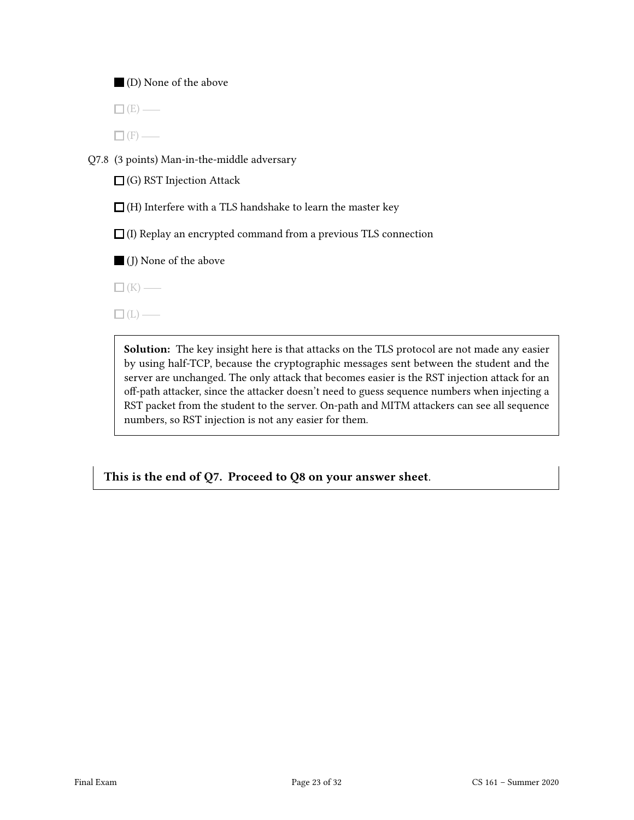## (D) None of the above

 $\Box$  (E) —

 $\Box$ (F) —

Q7.8 (3 points) Man-in-the-middle adversary

 $\Box$  (G) RST Injection Attack

 $\Box$  (H) Interfere with a TLS handshake to learn the master key

 $\Box$  (I) Replay an encrypted command from a previous TLS connection

(J) None of the above

 $\Box$ (K) —

 $\Box (L)$ 

Solution: The key insight here is that attacks on the TLS protocol are not made any easier by using half-TCP, because the cryptographic messages sent between the student and the server are unchanged. The only attack that becomes easier is the RST injection attack for an off-path attacker, since the attacker doesn't need to guess sequence numbers when injecting a RST packet from the student to the server. On-path and MITM attackers can see all sequence numbers, so RST injection is not any easier for them.

This is the end of Q7. Proceed to Q8 on your answer sheet.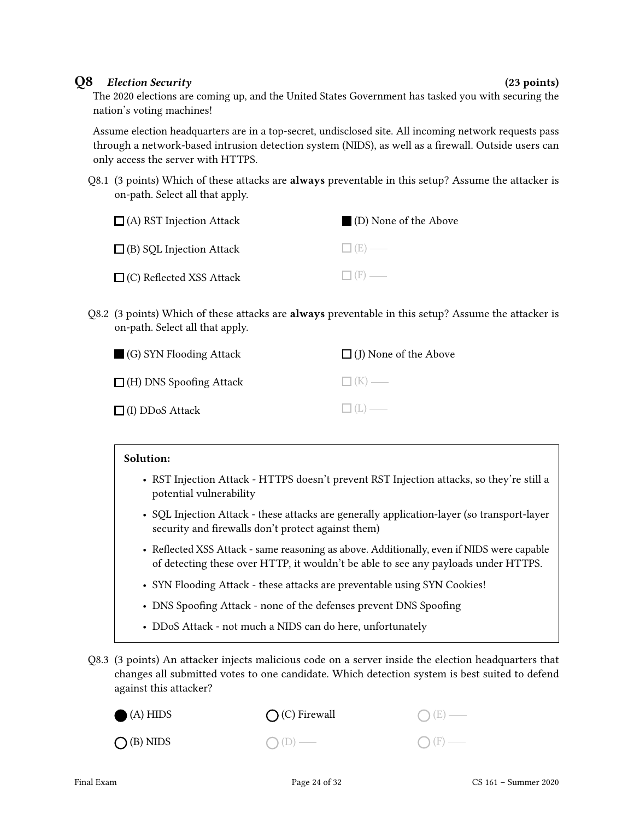### Q8 Election Security (23 points)

The 2020 elections are coming up, and the United States Government has tasked you with securing the nation's voting machines!

Assume election headquarters are in a top-secret, undisclosed site. All incoming network requests pass through a network-based intrusion detection system (NIDS), as well as a firewall. Outside users can only access the server with HTTPS.

Q8.1 (3 points) Which of these attacks are **always** preventable in this setup? Assume the attacker is on-path. Select all that apply.

| $\Box$ (A) RST Injection Attack | ■ (D) None of the Above |
|---------------------------------|-------------------------|
| $\Box$ (B) SQL Injection Attack | $\Box$ (E) —            |
| $\Box$ (C) Reflected XSS Attack | $\Box$ (F) —            |

 $Q8.2$  (3 points) Which of these attacks are **always** preventable in this setup? Assume the attacker is on-path. Select all that apply.

| (G) SYN Flooding Attack        | $\Box$ (J) None of the Above |
|--------------------------------|------------------------------|
| $\Box$ (H) DNS Spoofing Attack | $\Box$ (K) —                 |
| $\Box$ (I) DDoS Attack         | $\Box$ (L) —                 |

### Solution:

- RST Injection Attack HTTPS doesn't prevent RST Injection attacks, so they're still a potential vulnerability
- SQL Injection Attack these attacks are generally application-layer (so transport-layer security and firewalls don't protect against them)
- Reflected XSS Attack same reasoning as above. Additionally, even if NIDS were capable of detecting these over HTTP, it wouldn't be able to see any payloads under HTTPS.
- SYN Flooding Attack these attacks are preventable using SYN Cookies!
- DNS Spoofing Attack none of the defenses prevent DNS Spoofing
- DDoS Attack not much a NIDS can do here, unfortunately
- Q8.3 (3 points) An attacker injects malicious code on a server inside the election headquarters that changes all submitted votes to one candidate. Which detection system is best suited to defend against this attacker?

| $(A)$ HIDS | $\bigcap$ (C) Firewall | $O(E)$ — |
|------------|------------------------|----------|
| (B) NIDS   | $O(D)$ —               | $O(F)$ — |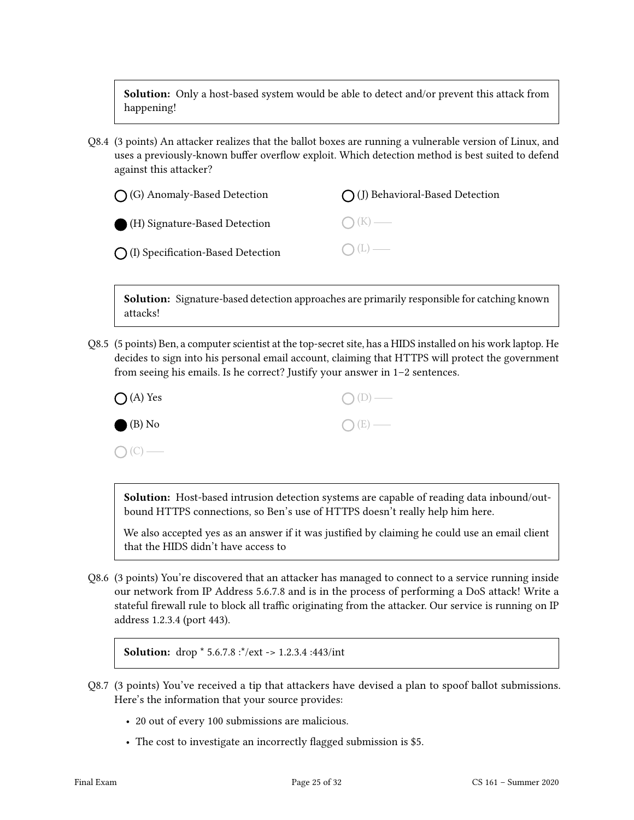Solution: Only a host-based system would be able to detect and/or prevent this attack from happening!

Q8.4 (3 points) An attacker realizes that the ballot boxes are running a vulnerable version of Linux, and uses a previously-known buffer overflow exploit. Which detection method is best suited to defend against this attacker?

| $\bigcap$ (G) Anomaly-Based Detection       | $\bigcap$ (J) Behavioral-Based Detection |
|---------------------------------------------|------------------------------------------|
| (H) Signature-Based Detection               | $\bigcap (K)$ —                          |
| $\bigcap$ (I) Specification-Based Detection | $\bigcap (L)$                            |

Solution: Signature-based detection approaches are primarily responsible for catching known attacks!

Q8.5 (5 points) Ben, a computer scientist at the top-secret site, has a HIDS installed on his work laptop. He decides to sign into his personal email account, claiming that HTTPS will protect the government from seeing his emails. Is he correct? Justify your answer in 1–2 sentences.

| $\bigcirc$ (A) Yes | $O(D)$ — |
|--------------------|----------|
| $\bigcirc$ (B) No  | $O(E)$ — |
| $O(C)$ —           |          |

Solution: Host-based intrusion detection systems are capable of reading data inbound/outbound HTTPS connections, so Ben's use of HTTPS doesn't really help him here.

We also accepted yes as an answer if it was justified by claiming he could use an email client that the HIDS didn't have access to

Q8.6 (3 points) You're discovered that an attacker has managed to connect to a service running inside our network from IP Address 5.6.7.8 and is in the process of performing a DoS attack! Write a stateful firewall rule to block all traffic originating from the attacker. Our service is running on IP address 1.2.3.4 (port 443).

**Solution:** drop  $*$  5.6.7.8 : $*$ /ext -> 1.2.3.4 :443/int

- Q8.7 (3 points) You've received a tip that attackers have devised a plan to spoof ballot submissions. Here's the information that your source provides:
	- 20 out of every 100 submissions are malicious.
	- The cost to investigate an incorrectly flagged submission is \$5.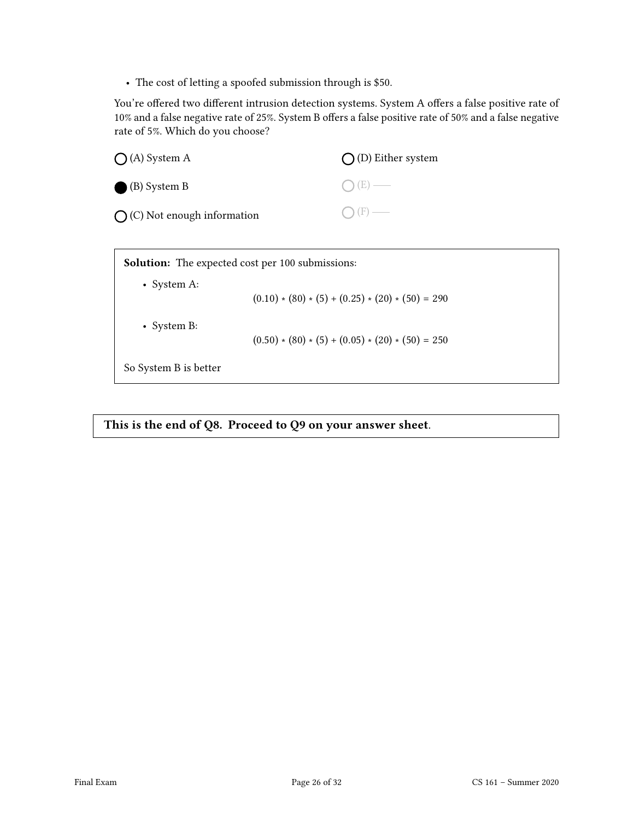• The cost of letting a spoofed submission through is \$50.

You're offered two different intrusion detection systems. System A offers a false positive rate of  $10\%$  and a false negative rate of 25%. System B offers a false positive rate of 50% and a false negative rate of 5%. Which do you choose?

| (A) System A                                            | (D) Either system                                  |  |
|---------------------------------------------------------|----------------------------------------------------|--|
| (B) System B                                            | E)                                                 |  |
| $\bigcap$ (C) Not enough information                    |                                                    |  |
| <b>Solution:</b> The expected cost per 100 submissions: |                                                    |  |
| • System A:                                             | $(0.10) * (80) * (5) + (0.25) * (20) * (50) = 290$ |  |
| • System B:                                             | $(0.50)*(80)*(5)+(0.05)*(20)*(50)=250$             |  |
| So System B is better                                   |                                                    |  |

This is the end of Q8. Proceed to Q9 on your answer sheet.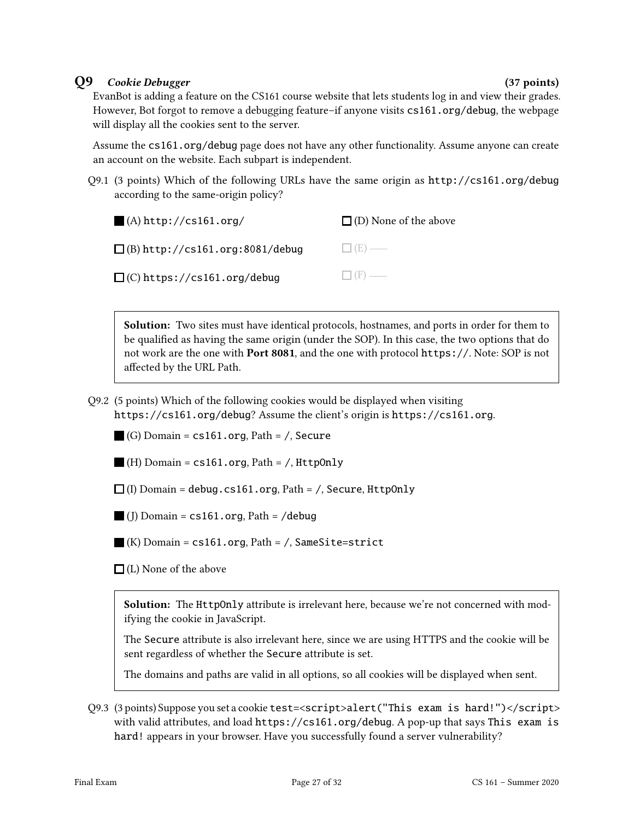## Q9 Cookie Debugger (37 points)

EvanBot is adding a feature on the CS161 course website that lets students log in and view their grades. However, Bot forgot to remove a debugging feature–if anyone visits cs161.org/debug, the webpage will display all the cookies sent to the server.

Assume the cs161.org/debug page does not have any other functionality. Assume anyone can create an account on the website. Each subpart is independent.

Q9.1 (3 points) Which of the following URLs have the same origin as http://cs161.org/debug according to the same-origin policy?

| $\blacksquare$ (A) http://cs161.org/   | $\Box$ (D) None of the above |
|----------------------------------------|------------------------------|
| $\Box$ (B) http://cs161.org:8081/debug | $\Box$ (E) —                 |
| $\Box$ (C) https://cs161.org/debug     | $\Box$ (F) —                 |

Solution: Two sites must have identical protocols, hostnames, and ports in order for them to be qualified as having the same origin (under the SOP). In this case, the two options that do not work are the one with Port 8081, and the one with protocol https://. Note: SOP is not affected by the URL Path.

- Q9.2 (5 points) Which of the following cookies would be displayed when visiting https://cs161.org/debug? Assume the client's origin is https://cs161.org.
	- $\Box$  (G) Domain = cs161.org, Path = /, Secure
	- $\blacksquare$  (H) Domain = cs161.org, Path = /, HttpOnly
	- $\Box$ (I) Domain = debug.cs161.org, Path = /, Secure, HttpOnly
	- $\blacksquare$  (J) Domain = cs161.org, Path = /debug

 $\blacksquare$  (K) Domain = cs161.org, Path = /, SameSite=strict

 $\Box$  (L) None of the above

Solution: The HttpOnly attribute is irrelevant here, because we're not concerned with modifying the cookie in JavaScript.

The Secure attribute is also irrelevant here, since we are using HTTPS and the cookie will be sent regardless of whether the Secure attribute is set.

The domains and paths are valid in all options, so all cookies will be displayed when sent.

Q9.3 (3 points) Suppose you set a cookie test=<script>alert("This exam is hard!")</script> with valid attributes, and load https://cs161.org/debug. A pop-up that says This exam is hard! appears in your browser. Have you successfully found a server vulnerability?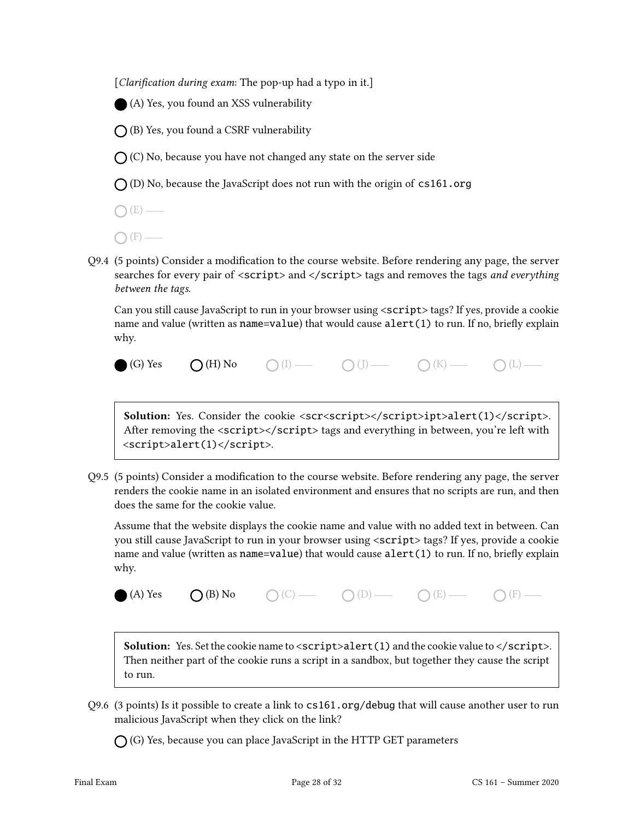[*Clarification during exam*: The pop-up had a typo in it.]

(A) Yes, you found an XSS vulnerability

 $\bigcap$  (B) Yes, you found a CSRF vulnerability

 $\bigcap$  (C) No, because you have not changed any state on the server side

 $\bigcap$  (D) No, because the JavaScript does not run with the origin of cs161.org

 $\bigcap(E)$  —

 $\bigcap$  (F) —

Q9.4 (5 points) Consider a modification to the course website. Before rendering any page, the server searches for every pair of <script> and </script> tags and removes the tags and everything between the tags.

Can you still cause JavaScript to run in your browser using <script> tags? If yes, provide a cookie name and value (written as name=value) that would cause alert(1) to run. If no, briefly explain why.



Solution: Yes. Consider the cookie <scr<script></script>ipt>alert(1)</script>. After removing the <script></script> tags and everything in between, you're left with <script>alert(1)</script>.

Q9.5 (5 points) Consider a modification to the course website. Before rendering any page, the server renders the cookie name in an isolated environment and ensures that no scripts are run, and then does the same for the cookie value.

Assume that the website displays the cookie name and value with no added text in between. Can you still cause JavaScript to run in your browser using <script> tags? If yes, provide a cookie name and value (written as name=value) that would cause  $\text{alert}(1)$  to run. If no, briefly explain why.

(A) Yes  $\bigcap (B)$  No  $\bigcap (C)$   $\longrightarrow$   $\bigcap (D)$   $\longrightarrow$   $\bigcap (E)$   $\longrightarrow$   $\bigcap (F)$   $\longrightarrow$ 

**Solution:** Yes. Set the cookie name to  $\le$ script>alert(1) and the cookie value to  $\le$ /script>. Then neither part of the cookie runs a script in a sandbox, but together they cause the script to run.

Q9.6 (3 points) Is it possible to create a link to cs161.org/debug that will cause another user to run malicious JavaScript when they click on the link?

 $\bigcap$  (G) Yes, because you can place JavaScript in the HTTP GET parameters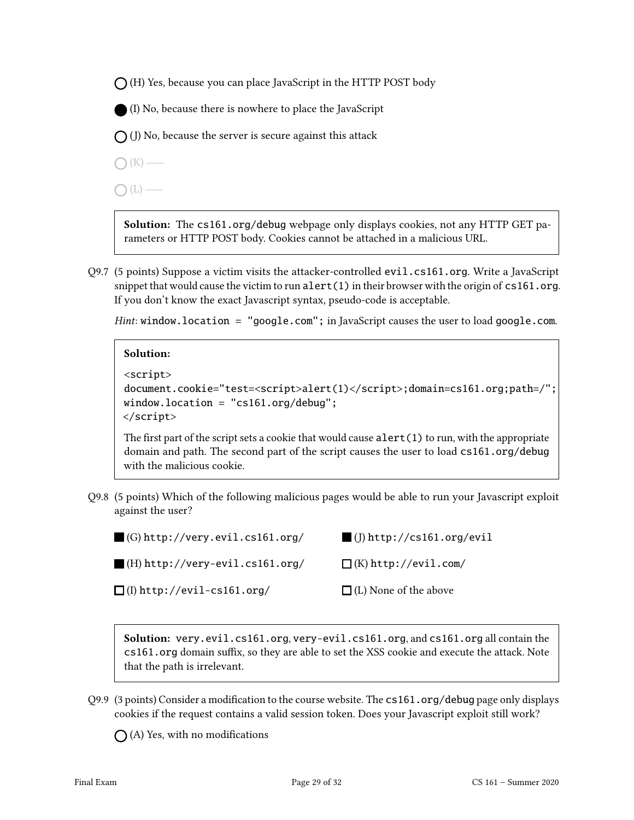$\bigcap$  (H) Yes, because you can place JavaScript in the HTTP POST body

(I) No, because there is nowhere to place the JavaScript

 $\bigcap$  (J) No, because the server is secure against this attack

 $\bigcap (K)$  —

 $\bigcap(L)$  —

Solution: The cs161.org/debug webpage only displays cookies, not any HTTP GET parameters or HTTP POST body. Cookies cannot be attached in a malicious URL.

Q9.7 (5 points) Suppose a victim visits the attacker-controlled evil.cs161.org. Write a JavaScript snippet that would cause the victim to run alert  $(1)$  in their browser with the origin of  $cs161$ .org. If you don't know the exact Javascript syntax, pseudo-code is acceptable.

Hint: window.location = "google.com"; in JavaScript causes the user to load google.com.

### Solution:

```
<script>
document.cookie="test=<script>alert(1)</script>;domain=cs161.org;path=/";
window.location = "cs161.org/debug";
</script>
```
The first part of the script sets a cookie that would cause  $\text{alert}(1)$  to run, with the appropriate domain and path. The second part of the script causes the user to load cs161.org/debug with the malicious cookie.

Q9.8 (5 points) Which of the following malicious pages would be able to run your Javascript exploit against the user?

(G) http://very.evil.cs161.org/ (H) http://very-evil.cs161.org/  $\Box$ (I) http://evil-cs161.org/ (J) http://cs161.org/evil  $\square$ (K) http://evil.com/  $\Box$  (L) None of the above

Solution: very.evil.cs161.org, very-evil.cs161.org, and cs161.org all contain the cs161.org domain suffix, so they are able to set the XSS cookie and execute the attack. Note that the path is irrelevant.

Q9.9 (3 points) Consider a modification to the course website. The  $cs161.org/$  debug page only displays cookies if the request contains a valid session token. Does your Javascript exploit still work?

 $\bigcap$  (A) Yes, with no modifications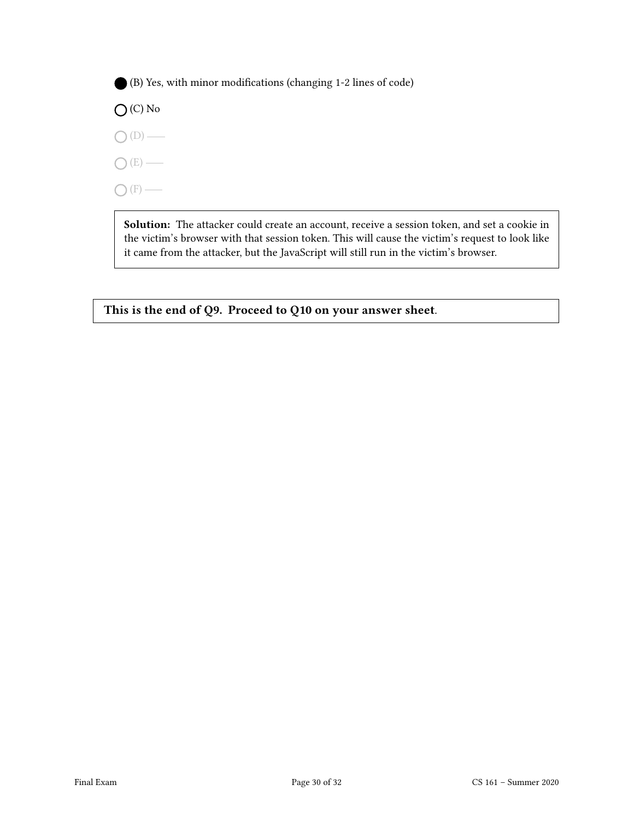(B) Yes, with minor modifications (changing 1-2 lines of code)



- $O(D)$  —
- $O(E)$  —

 $\bigcap$  (F) —

Solution: The attacker could create an account, receive a session token, and set a cookie in the victim's browser with that session token. This will cause the victim's request to look like it came from the attacker, but the JavaScript will still run in the victim's browser.

This is the end of Q9. Proceed to Q10 on your answer sheet.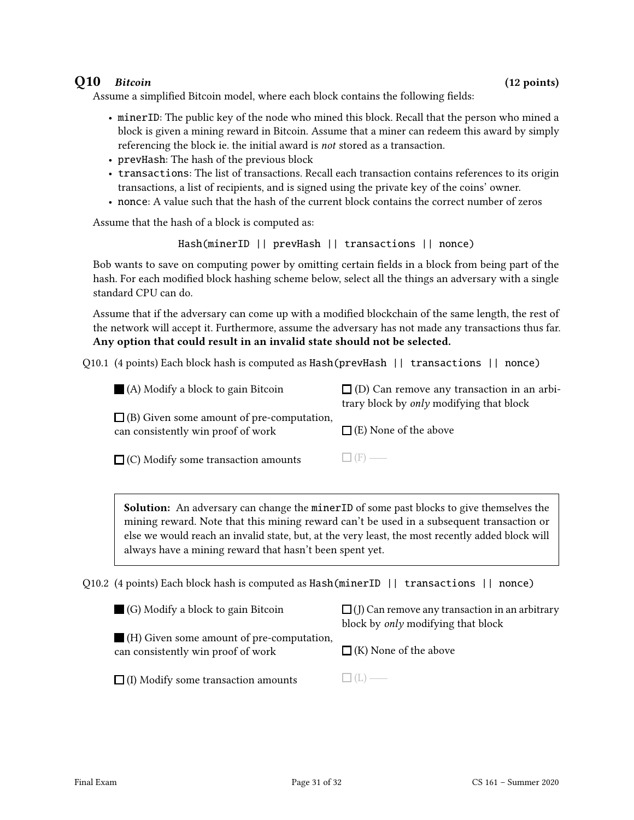# Q10 Bitcoin (12 points)

Assume a simplified Bitcoin model, where each block contains the following fields:

- minerID: The public key of the node who mined this block. Recall that the person who mined a block is given a mining reward in Bitcoin. Assume that a miner can redeem this award by simply referencing the block ie. the initial award is not stored as a transaction.
- prevHash: The hash of the previous block
- transactions: The list of transactions. Recall each transaction contains references to its origin transactions, a list of recipients, and is signed using the private key of the coins' owner.
- nonce: A value such that the hash of the current block contains the correct number of zeros

Assume that the hash of a block is computed as:

Hash(minerID || prevHash || transactions || nonce)

Bob wants to save on computing power by omitting certain fields in a block from being part of the hash. For each modified block hashing scheme below, select all the things an adversary with a single standard CPU can do.

Assume that if the adversary can come up with a modied blockchain of the same length, the rest of the network will accept it. Furthermore, assume the adversary has not made any transactions thus far. Any option that could result in an invalid state should not be selected.

Q10.1 (4 points) Each block hash is computed as Hash(prevHash || transactions || nonce)

| $\blacksquare$ (A) Modify a block to gain Bitcoin                                      | $\Box$ (D) Can remove any transaction in an arbi-<br>trary block by <i>only</i> modifying that block |
|----------------------------------------------------------------------------------------|------------------------------------------------------------------------------------------------------|
| $\Box$ (B) Given some amount of pre-computation,<br>can consistently win proof of work | $\Box$ (E) None of the above                                                                         |
| $\Box$ (C) Modify some transaction amounts                                             | $\Box$ (F) —                                                                                         |

Solution: An adversary can change the minerID of some past blocks to give themselves the mining reward. Note that this mining reward can't be used in a subsequent transaction or else we would reach an invalid state, but, at the very least, the most recently added block will always have a mining reward that hasn't been spent yet.

Q10.2 (4 points) Each block hash is computed as Hash(minerID || transactions || nonce)

(G) Modify a block to gain Bitcoin

 $\Box$  (J) Can remove any transaction in an arbitrary block by only modifying that block

(H) Given some amount of pre-computation, can consistently win proof of work

 $\Box$  (K) None of the above

 $\Box$  (I) Modify some transaction amounts

 $\Box$  (L) —